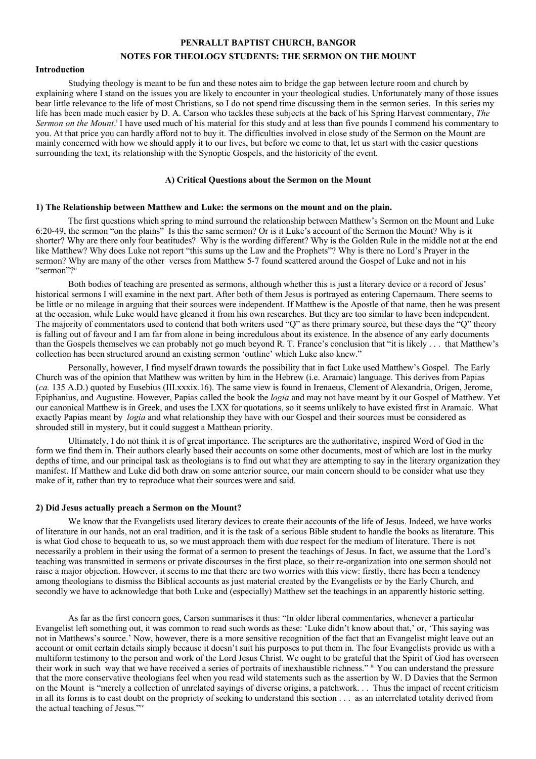# **PENRALLT BAPTIST CHURCH, BANGOR NOTES FOR THEOLOGY STUDENTS: THE SERMON ON THE MOUNT**

### **Introduction**

Studying theology is meant to be fun and these notes aim to bridge the gap between lecture room and church by explaining where I stand on the issues you are likely to encounter in your theological studies. Unfortunately many of those issues bear little relevance to the life of most Christians, so I do not spend time discussing them in the sermon series. In this series my life has been made much easier by D. A. Carson who tackles these subjects at the back of his Spring Harvest commentary, *The* Sermon on the Mount.<sup>i</sup> I have used much of his material for this study and at less than five pounds I commend his commentary to you. At that price you can hardly afford not to buy it. The difficulties involved in close study of the Sermon on the Mount are mainly concerned with how we should apply it to our lives, but before we come to that, let us start with the easier questions surrounding the text, its relationship with the Synoptic Gospels, and the historicity of the event.

## **A) Critical Questions about the Sermon on the Mount**

### **1) The Relationship between Matthew and Luke: the sermons on the mount and on the plain.**

The first questions which spring to mind surround the relationship between Matthew's Sermon on the Mount and Luke 6:20-49, the sermon "on the plains" Is this the same sermon? Or is it Luke's account of the Sermon the Mount? Why is it shorter? Why are there only four beatitudes? Why is the wording different? Why is the Golden Rule in the middle not at the end like Matthew? Why does Luke not report "this sums up the Law and the Prophets"? Why is there no Lord's Prayer in the sermon? Why are many of the other verses from Matthew 5-7 found scattered around the Gospel of Luke and not in his "sermon"?"

Both bodies of teaching are presented as sermons, although whether this is just a literary device or a record of Jesus' historical sermons I will examine in the next part. After both of them Jesus is portrayed as entering Capernaum. There seems to be little or no mileage in arguing that their sources were independent. If Matthew is the Apostle of that name, then he was present at the occasion, while Luke would have gleaned it from his own researches. But they are too similar to have been independent. The majority of commentators used to contend that both writers used "Q" as there primary source, but these days the "Q" theory is falling out of favour and I am far from alone in being incredulous about its existence. In the absence of any early documents than the Gospels themselves we can probably not go much beyond R. T. France's conclusion that "it is likely . . . that Matthew's collection has been structured around an existing sermon 'outline' which Luke also knew."

Personally, however, I find myself drawn towards the possibility that in fact Luke used Matthew's Gospel. The Early Church was of the opinion that Matthew was written by him in the Hebrew (i.e. Aramaic) language. This derives from Papias (*ca.* 135 A.D.) quoted by Eusebius (III.xxxix.16). The same view is found in Irenaeus, Clement of Alexandria, Origen, Jerome, Epiphanius, and Augustine. However, Papias called the book the *logia* and may not have meant by it our Gospel of Matthew. Yet our canonical Matthew is in Greek, and uses the LXX for quotations, so it seems unlikely to have existed first in Aramaic. What exactly Papias meant by *logia* and what relationship they have with our Gospel and their sources must be considered as shrouded still in mystery, but it could suggest a Matthean priority.

Ultimately, I do not think it is of great importance. The scriptures are the authoritative, inspired Word of God in the form we find them in. Their authors clearly based their accounts on some other documents, most of which are lost in the murky depths of time, and our principal task as theologians is to find out what they are attempting to say in the literary organization they manifest. If Matthew and Luke did both draw on some anterior source, our main concern should to be consider what use they make of it, rather than try to reproduce what their sources were and said.

#### **2) Did Jesus actually preach a Sermon on the Mount?**

We know that the Evangelists used literary devices to create their accounts of the life of Jesus. Indeed, we have works of literature in our hands, not an oral tradition, and it is the task of a serious Bible student to handle the books as literature. This is what God chose to bequeath to us, so we must approach them with due respect for the medium of literature. There is not necessarily a problem in their using the format of a sermon to present the teachings of Jesus. In fact, we assume that the Lord's teaching was transmitted in sermons or private discourses in the first place, so their re-organization into one sermon should not raise a major objection. However, it seems to me that there are two worries with this view: firstly, there has been a tendency among theologians to dismiss the Biblical accounts as just material created by the Evangelists or by the Early Church, and secondly we have to acknowledge that both Luke and (especially) Matthew set the teachings in an apparently historic setting.

As far as the first concern goes, Carson summarises it thus: "In older liberal commentaries, whenever a particular Evangelist left something out, it was common to read such words as these: 'Luke didn't know about that,' or, 'This saying was not in Matthews's source.' Now, however, there is a more sensitive recognition of the fact that an Evangelist might leave out an account or omit certain details simply because it doesn't suit his purposes to put them in. The four Evangelists provide us with a multiform testimony to the person and work of the Lord Jesus Christ. We ought to be grateful that the Spirit of God has overseen their work in such way that we have received a series of portraits of inexhaustible richness." ii You can understand the pressure that the more conservative theologians feel when you read wild statements such as the assertion by W. D Davies that the Sermon on the Mount is "merely a collection of unrelated sayings of diverse origins, a patchwork. . . Thus the impact of recent criticism in all its forms is to cast doubt on the propriety of seeking to understand this section . . . as an interrelated totality derived from the actual teaching of Jesus."iv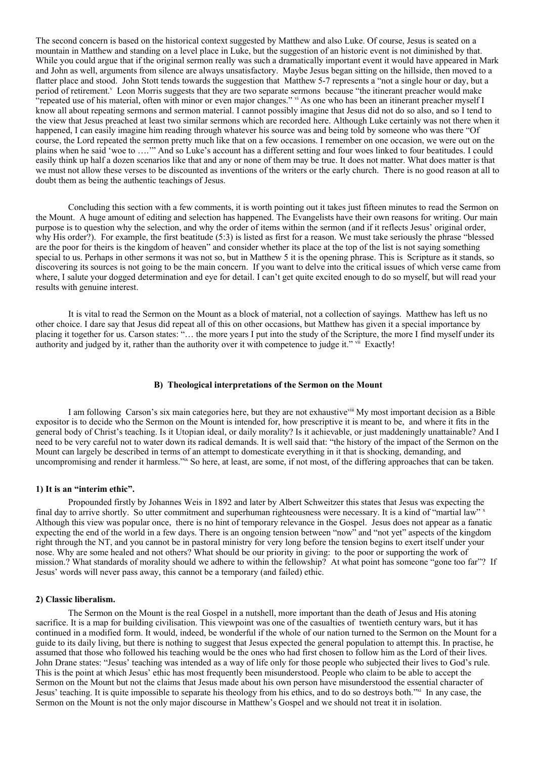The second concern is based on the historical context suggested by Matthew and also Luke. Of course, Jesus is seated on a mountain in Matthew and standing on a level place in Luke, but the suggestion of an historic event is not diminished by that. While you could argue that if the original sermon really was such a dramatically important event it would have appeared in Mark and John as well, arguments from silence are always unsatisfactory. Maybe Jesus began sitting on the hillside, then moved to a flatter place and stood. John Stott tends towards the suggestion that Matthew 5-7 represents a "not a single hour or day, but a period of retirement.<sup>V</sup> Leon Morris suggests that they are two separate sermons because "the itinerant preacher would make "repeated use of his material, often with minor or even major changes." vi As one who has been an itinerant preacher myself I know all about repeating sermons and sermon material. I cannot possibly imagine that Jesus did not do so also, and so I tend to the view that Jesus preached at least two similar sermons which are recorded here. Although Luke certainly was not there when it happened, I can easily imagine him reading through whatever his source was and being told by someone who was there "Of course, the Lord repeated the sermon pretty much like that on a few occasions. I remember on one occasion, we were out on the plains when he said 'woe to ….'" And so Luke's account has a different setting and four woes linked to four beatitudes. I could easily think up half a dozen scenarios like that and any or none of them may be true. It does not matter. What does matter is that we must not allow these verses to be discounted as inventions of the writers or the early church. There is no good reason at all to doubt them as being the authentic teachings of Jesus.

Concluding this section with a few comments, it is worth pointing out it takes just fifteen minutes to read the Sermon on the Mount. A huge amount of editing and selection has happened. The Evangelists have their own reasons for writing. Our main purpose is to question why the selection, and why the order of items within the sermon (and if it reflects Jesus' original order, why His order?). For example, the first beatitude (5:3) is listed as first for a reason. We must take seriously the phrase "blessed are the poor for theirs is the kingdom of heaven" and consider whether its place at the top of the list is not saying something special to us. Perhaps in other sermons it was not so, but in Matthew 5 it is the opening phrase. This is Scripture as it stands, so discovering its sources is not going to be the main concern. If you want to delve into the critical issues of which verse came from where, I salute your dogged determination and eye for detail. I can't get quite excited enough to do so myself, but will read your results with genuine interest.

It is vital to read the Sermon on the Mount as a block of material, not a collection of sayings. Matthew has left us no other choice. I dare say that Jesus did repeat all of this on other occasions, but Matthew has given it a special importance by placing it together for us. Carson states: "… the more years I put into the study of the Scripture, the more I find myself under its authority and judged by it, rather than the authority over it with competence to judge it." vii Exactly!

# **B) Theological interpretations of the Sermon on the Mount**

I am following Carson's six main categories here, but they are not exhaustive in My most important decision as a Bible expositor is to decide who the Sermon on the Mount is intended for, how prescriptive it is meant to be, and where it fits in the general body of Christ's teaching. Is it Utopian ideal, or daily morality? Is it achievable, or just maddeningly unattainable? And I need to be very careful not to water down its radical demands. It is well said that: "the history of the impact of the Sermon on the Mount can largely be described in terms of an attempt to domesticate everything in it that is shocking, demanding, and uncompromising and render it harmless." So here, at least, are some, if not most, of the differing approaches that can be taken.

# **1) It is an "interim ethic".**

Propounded firstly by Johannes Weis in 1892 and later by Albert Schweitzer this states that Jesus was expecting the final day to arrive shortly. So utter commitment and superhuman righteousness were necessary. It is a kind of "martial law"<sup>x</sup> Although this view was popular once, there is no hint of temporary relevance in the Gospel. Jesus does not appear as a fanatic expecting the end of the world in a few days. There is an ongoing tension between "now" and "not yet" aspects of the kingdom right through the NT, and you cannot be in pastoral ministry for very long before the tension begins to exert itself under your nose. Why are some healed and not others? What should be our priority in giving: to the poor or supporting the work of mission.? What standards of morality should we adhere to within the fellowship? At what point has someone "gone too far"? If Jesus' words will never pass away, this cannot be a temporary (and failed) ethic.

#### **2) Classic liberalism.**

The Sermon on the Mount is the real Gospel in a nutshell, more important than the death of Jesus and His atoning sacrifice. It is a map for building civilisation. This viewpoint was one of the casualties of twentieth century wars, but it has continued in a modified form. It would, indeed, be wonderful if the whole of our nation turned to the Sermon on the Mount for a guide to its daily living, but there is nothing to suggest that Jesus expected the general population to attempt this. In practise, he assumed that those who followed his teaching would be the ones who had first chosen to follow him as the Lord of their lives. John Drane states: "Jesus' teaching was intended as a way of life only for those people who subjected their lives to God's rule. This is the point at which Jesus' ethic has most frequently been misunderstood. People who claim to be able to accept the Sermon on the Mount but not the claims that Jesus made about his own person have misunderstood the essential character of Jesus' teaching. It is quite impossible to separate his theology from his ethics, and to do so destroys both."<sup>xi</sup> In any case, the Sermon on the Mount is not the only major discourse in Matthew's Gospel and we should not treat it in isolation.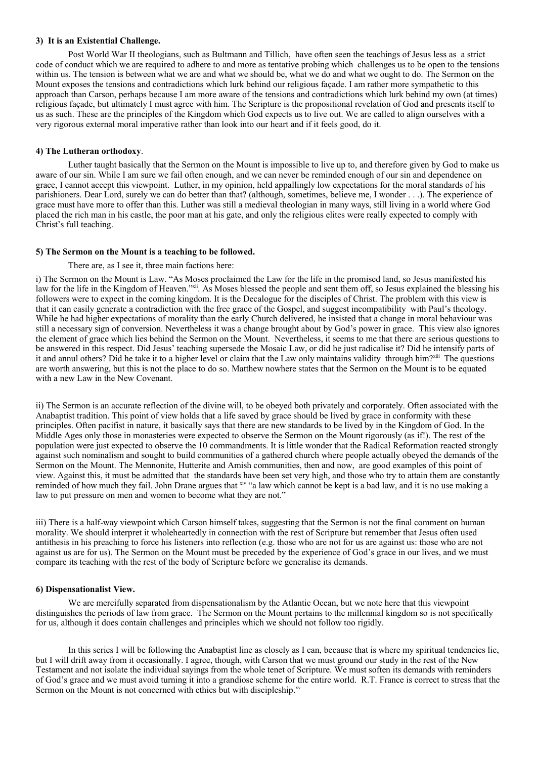## **3) It is an Existential Challenge.**

Post World War II theologians, such as Bultmann and Tillich, have often seen the teachings of Jesus less as a strict code of conduct which we are required to adhere to and more as tentative probing which challenges us to be open to the tensions within us. The tension is between what we are and what we should be, what we do and what we ought to do. The Sermon on the Mount exposes the tensions and contradictions which lurk behind our religious façade. I am rather more sympathetic to this approach than Carson, perhaps because I am more aware of the tensions and contradictions which lurk behind my own (at times) religious façade, but ultimately I must agree with him. The Scripture is the propositional revelation of God and presents itself to us as such. These are the principles of the Kingdom which God expects us to live out. We are called to align ourselves with a very rigorous external moral imperative rather than look into our heart and if it feels good, do it.

# **4) The Lutheran orthodoxy**.

Luther taught basically that the Sermon on the Mount is impossible to live up to, and therefore given by God to make us aware of our sin. While I am sure we fail often enough, and we can never be reminded enough of our sin and dependence on grace, I cannot accept this viewpoint. Luther, in my opinion, held appallingly low expectations for the moral standards of his parishioners. Dear Lord, surely we can do better than that? (although, sometimes, believe me, I wonder . . .). The experience of grace must have more to offer than this. Luther was still a medieval theologian in many ways, still living in a world where God placed the rich man in his castle, the poor man at his gate, and only the religious elites were really expected to comply with Christ's full teaching.

# **5) The Sermon on the Mount is a teaching to be followed.**

### There are, as I see it, three main factions here:

i) The Sermon on the Mount is Law. "As Moses proclaimed the Law for the life in the promised land, so Jesus manifested his law for the life in the Kingdom of Heaven."<sup>xii</sup>. As Moses blessed the people and sent them off, so Jesus explained the blessing his followers were to expect in the coming kingdom. It is the Decalogue for the disciples of Christ. The problem with this view is that it can easily generate a contradiction with the free grace of the Gospel, and suggest incompatibility with Paul's theology. While he had higher expectations of morality than the early Church delivered, he insisted that a change in moral behaviour was still a necessary sign of conversion. Nevertheless it was a change brought about by God's power in grace. This view also ignores the element of grace which lies behind the Sermon on the Mount. Nevertheless, it seems to me that there are serious questions to be answered in this respect. Did Jesus' teaching supersede the Mosaic Law, or did he just radicalise it? Did he intensify parts of it and annul others? Did he take it to a higher level or claim that the Law only maintains validity through him?<sup>xiii</sup> The questions are worth answering, but this is not the place to do so. Matthew nowhere states that the Sermon on the Mount is to be equated with a new Law in the New Covenant.

ii) The Sermon is an accurate reflection of the divine will, to be obeyed both privately and corporately. Often associated with the Anabaptist tradition. This point of view holds that a life saved by grace should be lived by grace in conformity with these principles. Often pacifist in nature, it basically says that there are new standards to be lived by in the Kingdom of God. In the Middle Ages only those in monasteries were expected to observe the Sermon on the Mount rigorously (as if!). The rest of the population were just expected to observe the 10 commandments. It is little wonder that the Radical Reformation reacted strongly against such nominalism and sought to build communities of a gathered church where people actually obeyed the demands of the Sermon on the Mount. The Mennonite, Hutterite and Amish communities, then and now, are good examples of this point of view. Against this, it must be admitted that the standards have been set very high, and those who try to attain them are constantly reminded of how much they fail. John Drane argues that xiv "a law which cannot be kept is a bad law, and it is no use making a law to put pressure on men and women to become what they are not."

iii) There is a half-way viewpoint which Carson himself takes, suggesting that the Sermon is not the final comment on human morality. We should interpret it wholeheartedly in connection with the rest of Scripture but remember that Jesus often used antithesis in his preaching to force his listeners into reflection (e.g. those who are not for us are against us: those who are not against us are for us). The Sermon on the Mount must be preceded by the experience of God's grace in our lives, and we must compare its teaching with the rest of the body of Scripture before we generalise its demands.

### **6) Dispensationalist View.**

We are mercifully separated from dispensationalism by the Atlantic Ocean, but we note here that this viewpoint distinguishes the periods of law from grace. The Sermon on the Mount pertains to the millennial kingdom so is not specifically for us, although it does contain challenges and principles which we should not follow too rigidly.

In this series I will be following the Anabaptist line as closely as I can, because that is where my spiritual tendencies lie, but I will drift away from it occasionally. I agree, though, with Carson that we must ground our study in the rest of the New Testament and not isolate the individual sayings from the whole tenet of Scripture. We must soften its demands with reminders of God's grace and we must avoid turning it into a grandiose scheme for the entire world. R.T. France is correct to stress that the Sermon on the Mount is not concerned with ethics but with discipleship.<sup>xv</sup>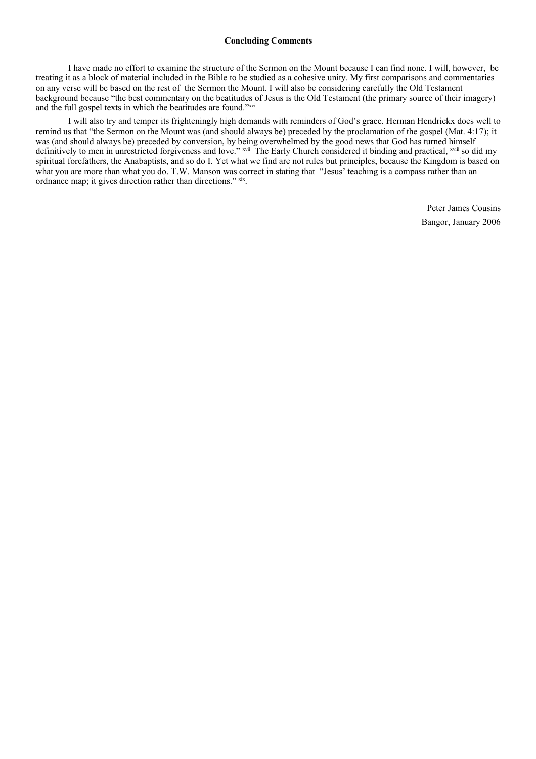# **Concluding Comments**

I have made no effort to examine the structure of the Sermon on the Mount because I can find none. I will, however, be treating it as a block of material included in the Bible to be studied as a cohesive unity. My first comparisons and commentaries on any verse will be based on the rest of the Sermon the Mount. I will also be considering carefully the Old Testament background because "the best commentary on the beatitudes of Jesus is the Old Testament (the primary source of their imagery) and the full gospel texts in which the beatitudes are found."xvi

I will also try and temper its frighteningly high demands with reminders of God's grace. Herman Hendrickx does well to remind us that "the Sermon on the Mount was (and should always be) preceded by the proclamation of the gospel (Mat. 4:17); it was (and should always be) preceded by conversion, by being overwhelmed by the good news that God has turned himself definitively to men in unrestricted forgiveness and love." <sup>xvii</sup> The Early Church considered it binding and practical, <sup>xvii</sup> so did my spiritual forefathers, the Anabaptists, and so do I. Yet what we find are not rules but principles, because the Kingdom is based on what you are more than what you do. T.W. Manson was correct in stating that "Jesus' teaching is a compass rather than an ordnance map; it gives direction rather than directions." xix.

> Peter James Cousins Bangor, January 2006